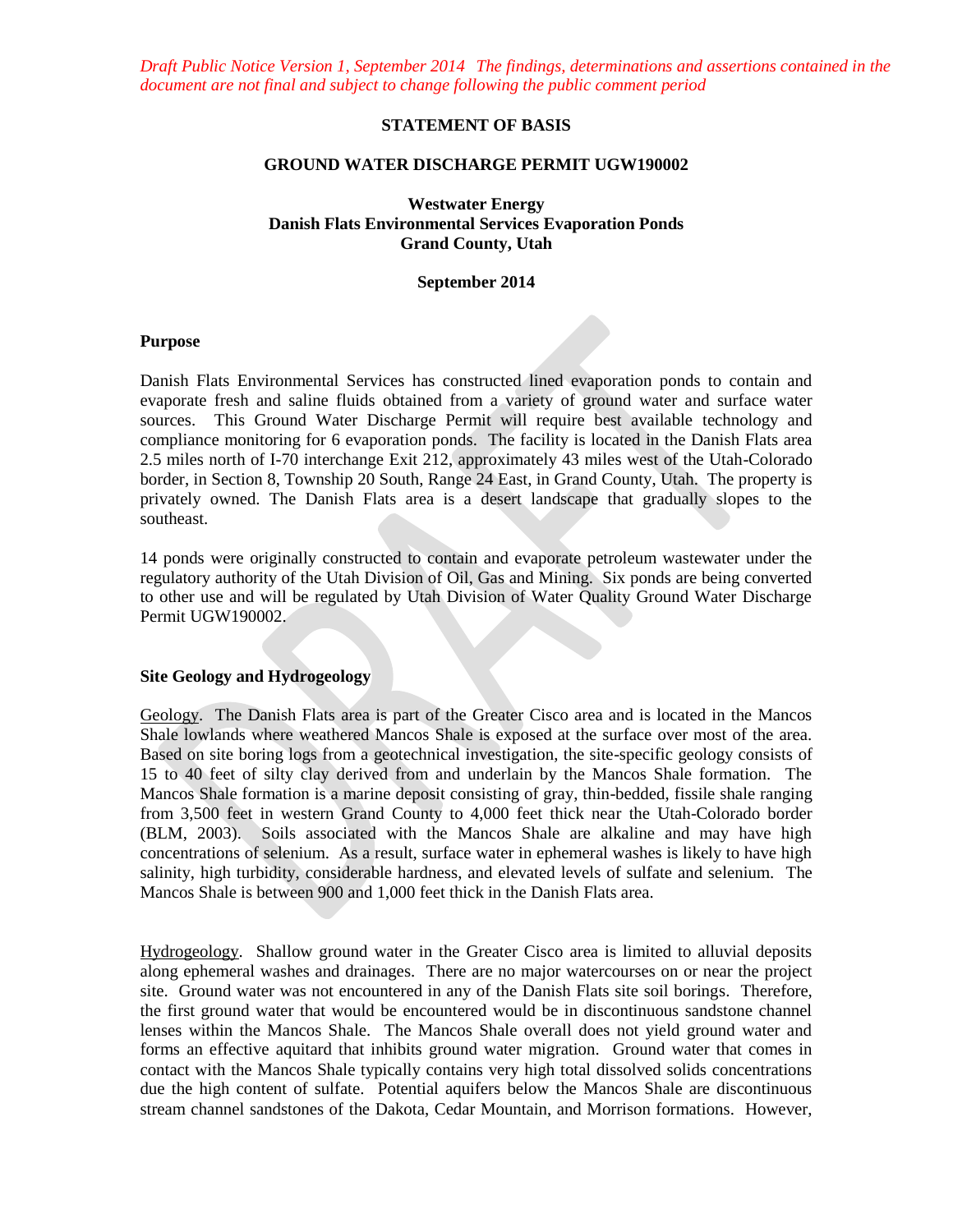*Draft Public Notice Version 1, September 2014 The findings, determinations and assertions contained in the document are not final and subject to change following the public comment period*

## **STATEMENT OF BASIS**

#### **GROUND WATER DISCHARGE PERMIT UGW190002**

### **Westwater Energy Danish Flats Environmental Services Evaporation Ponds Grand County, Utah**

#### **September 2014**

#### **Purpose**

Danish Flats Environmental Services has constructed lined evaporation ponds to contain and evaporate fresh and saline fluids obtained from a variety of ground water and surface water sources. This Ground Water Discharge Permit will require best available technology and compliance monitoring for 6 evaporation ponds. The facility is located in the Danish Flats area 2.5 miles north of I-70 interchange Exit 212, approximately 43 miles west of the Utah-Colorado border, in Section 8, Township 20 South, Range 24 East, in Grand County, Utah. The property is privately owned. The Danish Flats area is a desert landscape that gradually slopes to the southeast.

14 ponds were originally constructed to contain and evaporate petroleum wastewater under the regulatory authority of the Utah Division of Oil, Gas and Mining. Six ponds are being converted to other use and will be regulated by Utah Division of Water Quality Ground Water Discharge Permit UGW190002.

## **Site Geology and Hydrogeology**

Geology. The Danish Flats area is part of the Greater Cisco area and is located in the Mancos Shale lowlands where weathered Mancos Shale is exposed at the surface over most of the area. Based on site boring logs from a geotechnical investigation, the site-specific geology consists of 15 to 40 feet of silty clay derived from and underlain by the Mancos Shale formation. The Mancos Shale formation is a marine deposit consisting of gray, thin-bedded, fissile shale ranging from 3,500 feet in western Grand County to 4,000 feet thick near the Utah-Colorado border (BLM, 2003). Soils associated with the Mancos Shale are alkaline and may have high concentrations of selenium. As a result, surface water in ephemeral washes is likely to have high salinity, high turbidity, considerable hardness, and elevated levels of sulfate and selenium. The Mancos Shale is between 900 and 1,000 feet thick in the Danish Flats area.

Hydrogeology. Shallow ground water in the Greater Cisco area is limited to alluvial deposits along ephemeral washes and drainages. There are no major watercourses on or near the project site. Ground water was not encountered in any of the Danish Flats site soil borings. Therefore, the first ground water that would be encountered would be in discontinuous sandstone channel lenses within the Mancos Shale. The Mancos Shale overall does not yield ground water and forms an effective aquitard that inhibits ground water migration. Ground water that comes in contact with the Mancos Shale typically contains very high total dissolved solids concentrations due the high content of sulfate. Potential aquifers below the Mancos Shale are discontinuous stream channel sandstones of the Dakota, Cedar Mountain, and Morrison formations. However,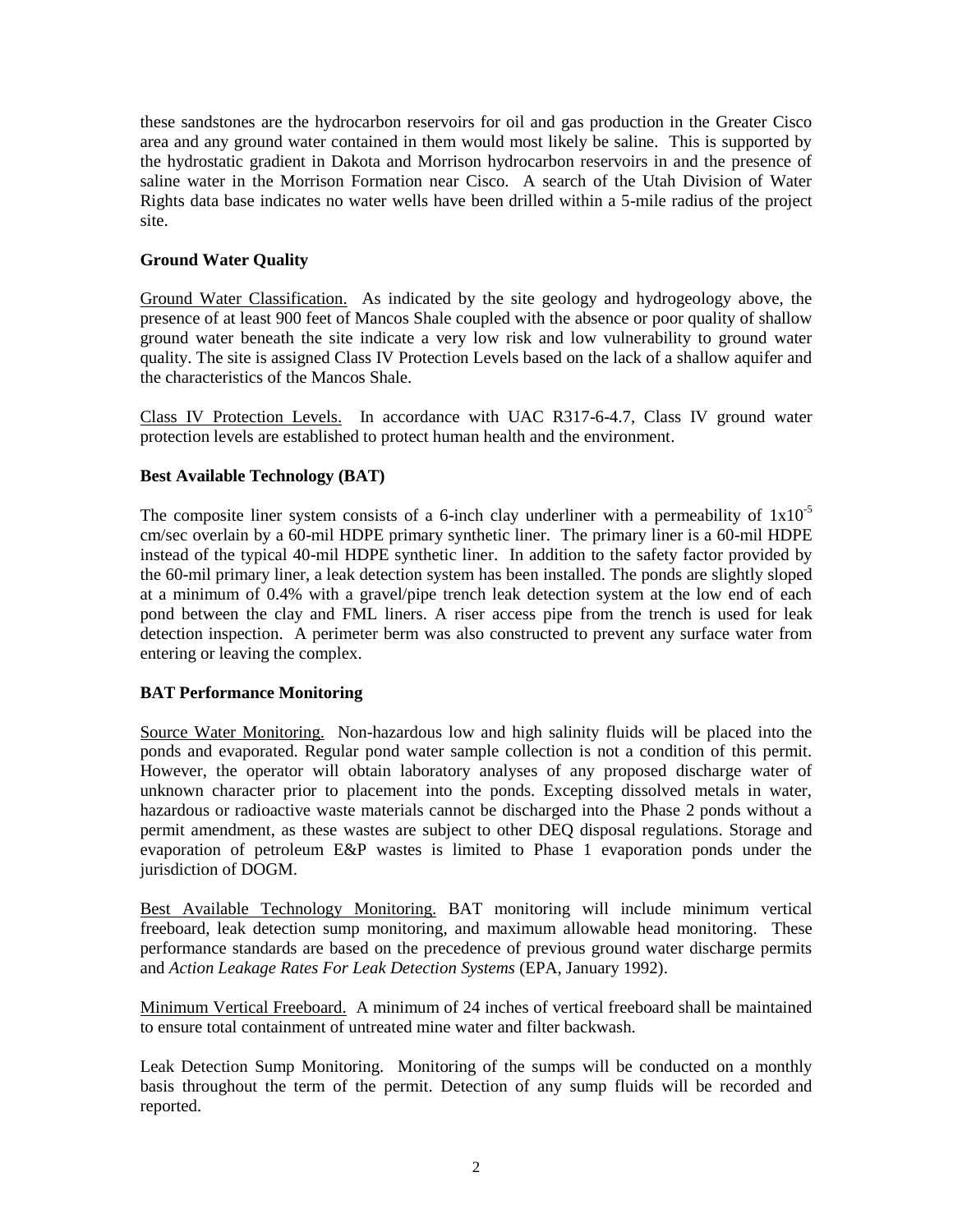these sandstones are the hydrocarbon reservoirs for oil and gas production in the Greater Cisco area and any ground water contained in them would most likely be saline. This is supported by the hydrostatic gradient in Dakota and Morrison hydrocarbon reservoirs in and the presence of saline water in the Morrison Formation near Cisco. A search of the Utah Division of Water Rights data base indicates no water wells have been drilled within a 5-mile radius of the project site.

# **Ground Water Quality**

Ground Water Classification.As indicated by the site geology and hydrogeology above, the presence of at least 900 feet of Mancos Shale coupled with the absence or poor quality of shallow ground water beneath the site indicate a very low risk and low vulnerability to ground water quality. The site is assigned Class IV Protection Levels based on the lack of a shallow aquifer and the characteristics of the Mancos Shale.

Class IV Protection Levels.In accordance with UAC R317-6-4.7, Class IV ground water protection levels are established to protect human health and the environment.

# **Best Available Technology (BAT)**

The composite liner system consists of a 6-inch clay underliner with a permeability of  $1x10^{-5}$ cm/sec overlain by a 60-mil HDPE primary synthetic liner. The primary liner is a 60-mil HDPE instead of the typical 40-mil HDPE synthetic liner. In addition to the safety factor provided by the 60-mil primary liner, a leak detection system has been installed. The ponds are slightly sloped at a minimum of 0.4% with a gravel/pipe trench leak detection system at the low end of each pond between the clay and FML liners. A riser access pipe from the trench is used for leak detection inspection. A perimeter berm was also constructed to prevent any surface water from entering or leaving the complex.

# **BAT Performance Monitoring**

Source Water Monitoring. Non-hazardous low and high salinity fluids will be placed into the ponds and evaporated. Regular pond water sample collection is not a condition of this permit. However, the operator will obtain laboratory analyses of any proposed discharge water of unknown character prior to placement into the ponds. Excepting dissolved metals in water, hazardous or radioactive waste materials cannot be discharged into the Phase 2 ponds without a permit amendment, as these wastes are subject to other DEQ disposal regulations. Storage and evaporation of petroleum E&P wastes is limited to Phase 1 evaporation ponds under the jurisdiction of DOGM.

Best Available Technology Monitoring. BAT monitoring will include minimum vertical freeboard, leak detection sump monitoring, and maximum allowable head monitoring. These performance standards are based on the precedence of previous ground water discharge permits and *Action Leakage Rates For Leak Detection Systems* (EPA, January 1992).

Minimum Vertical Freeboard. A minimum of 24 inches of vertical freeboard shall be maintained to ensure total containment of untreated mine water and filter backwash.

Leak Detection Sump Monitoring. Monitoring of the sumps will be conducted on a monthly basis throughout the term of the permit. Detection of any sump fluids will be recorded and reported.